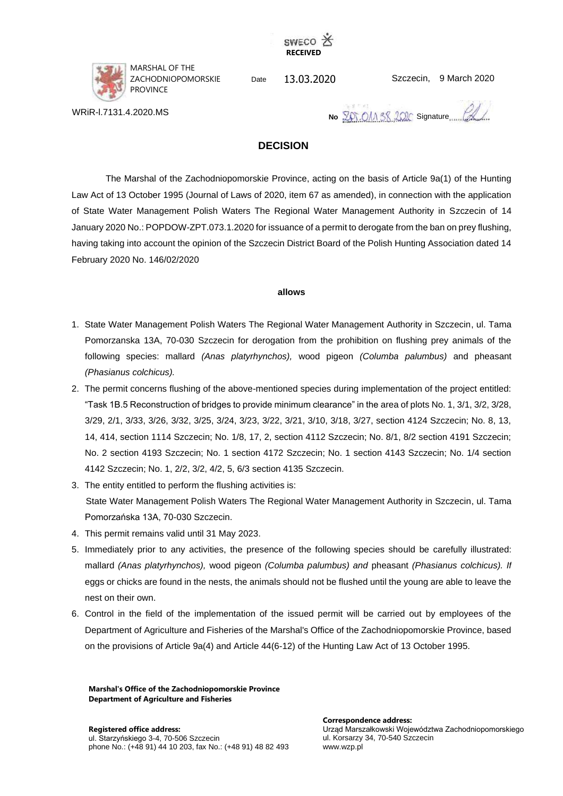



WRiR-l.7131.4.2020.MS

MARSHAL OF THE ZACHODNIOPOMORSKIE PROVINCE

13.03.2020 Date Szczecin,

Szczecin, 9 March 2020

**No ZOT.OM SR 200C** Signature

# **DECISION**

The Marshal of the Zachodniopomorskie Province, acting on the basis of Article 9a(1) of the Hunting Law Act of 13 October 1995 (Journal of Laws of 2020, item 67 as amended), in connection with the application of State Water Management Polish Waters The Regional Water Management Authority in Szczecin of 14 January 2020 No.: POPDOW-ZPT.073.1.2020 for issuance of a permit to derogate from the ban on prey flushing, having taking into account the opinion of the Szczecin District Board of the Polish Hunting Association dated 14 February 2020 No. 146/02/2020

### **allows**

- 1. State Water Management Polish Waters The Regional Water Management Authority in Szczecin, ul. Tama Pomorzanska 13A, 70-030 Szczecin for derogation from the prohibition on flushing prey animals of the following species: mallard *(Anas platyrhynchos),* wood pigeon *(Columba palumbus)* and pheasant *(Phasianus colchicus).*
- 2. The permit concerns flushing of the above-mentioned species during implementation of the project entitled: "Task 1B.5 Reconstruction of bridges to provide minimum clearance" in the area of plots No. 1, 3/1, 3/2, 3/28, 3/29, 2/1, 3/33, 3/26, 3/32, 3/25, 3/24, 3/23, 3/22, 3/21, 3/10, 3/18, 3/27, section 4124 Szczecin; No. 8, 13, 14, 414, section 1114 Szczecin; No. 1/8, 17, 2, section 4112 Szczecin; No. 8/1, 8/2 section 4191 Szczecin; No. 2 section 4193 Szczecin; No. 1 section 4172 Szczecin; No. 1 section 4143 Szczecin; No. 1/4 section 4142 Szczecin; No. 1, 2/2, 3/2, 4/2, 5, 6/3 section 4135 Szczecin.
- 3. The entity entitled to perform the flushing activities is: State Water Management Polish Waters The Regional Water Management Authority in Szczecin, ul. Tama Pomorzańska 13A, 70-030 Szczecin.
- 4. This permit remains valid until 31 May 2023.
- 5. Immediately prior to any activities, the presence of the following species should be carefully illustrated: mallard *(Anas platyrhynchos),* wood pigeon *(Columba palumbus) and* pheasant *(Phasianus colchicus). If* eggs or chicks are found in the nests, the animals should not be flushed until the young are able to leave the nest on their own.
- 6. Control in the field of the implementation of the issued permit will be carried out by employees of the Department of Agriculture and Fisheries of the Marshal's Office of the Zachodniopomorskie Province, based on the provisions of Article 9a(4) and Article 44(6-12) of the Hunting Law Act of 13 October 1995.

**Marshal's Office of the Zachodniopomorskie Province Department of Agriculture and Fisheries**

**Correspondence address:**

Urząd Marszałkowski Województwa Zachodniopomorskiego ul. Korsarzy 34, 70-540 Szczecin www.wzp.pl